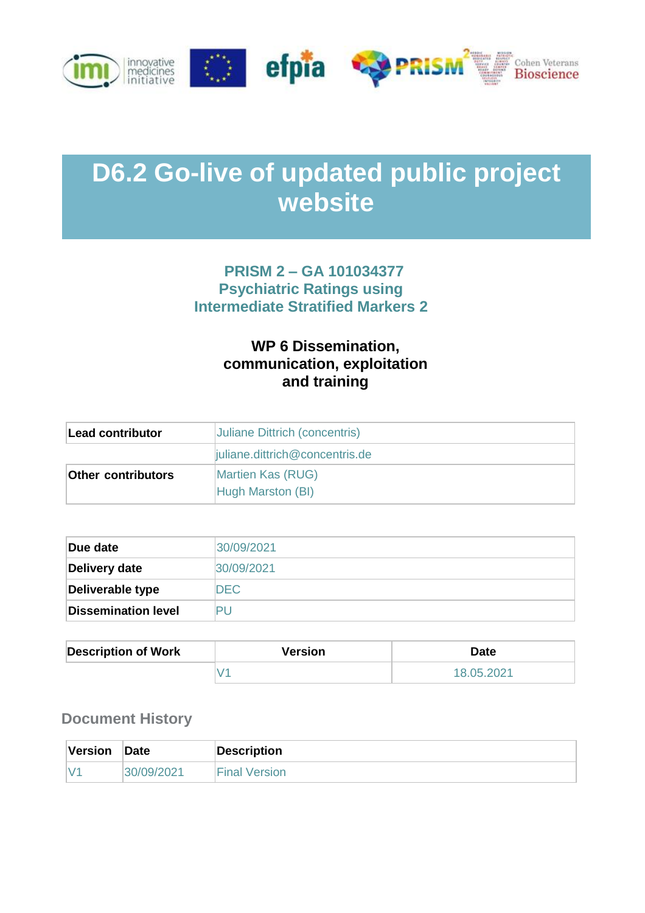

# **D6.2 Go-live of updated public project website**

## **PRISM 2 – GA 101034377 Psychiatric Ratings using Intermediate Stratified Markers 2**

## **WP 6 Dissemination, communication, exploitation and training**

| Lead contributor          | Juliane Dittrich (concentris)          |
|---------------------------|----------------------------------------|
|                           | juliane.dittrich@concentris.de         |
| <b>Other contributors</b> | Martien Kas (RUG)<br>Hugh Marston (BI) |

| Due date                   | 30/09/2021 |
|----------------------------|------------|
| Delivery date              | 30/09/2021 |
| Deliverable type           | DEC.       |
| <b>Dissemination level</b> |            |

| <b>Description of Work</b> | Version | <b>Date</b> |
|----------------------------|---------|-------------|
|                            |         | 18.05.2021  |

#### **Document History**

| Version | <b>Date</b> | <b>Description</b>   |
|---------|-------------|----------------------|
| IV      | '30/09/2021 | <b>Final Version</b> |